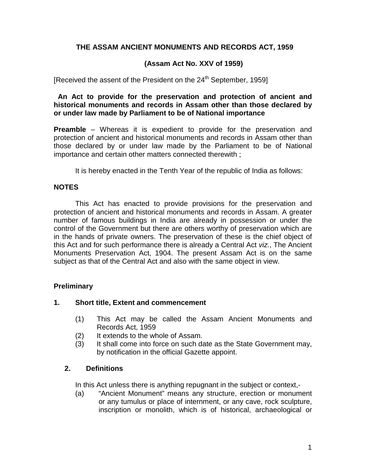## **THE ASSAM ANCIENT MONUMENTS AND RECORDS ACT, 1959**

## **(Assam Act No. XXV of 1959)**

[Received the assent of the President on the  $24<sup>th</sup>$  September, 1959]

#### **An Act to provide for the preservation and protection of ancient and historical monuments and records in Assam other than those declared by or under law made by Parliament to be of National importance**

**Preamble** – Whereas it is expedient to provide for the preservation and protection of ancient and historical monuments and records in Assam other than those declared by or under law made by the Parliament to be of National importance and certain other matters connected therewith ;

It is hereby enacted in the Tenth Year of the republic of India as follows:

## **NOTES**

This Act has enacted to provide provisions for the preservation and protection of ancient and historical monuments and records in Assam. A greater number of famous buildings in India are already in possession or under the control of the Government but there are others worthy of preservation which are in the hands of private owners. The preservation of these is the chief object of this Act and for such performance there is already a Central Act *viz*., The Ancient Monuments Preservation Act, 1904. The present Assam Act is on the same subject as that of the Central Act and also with the same object in view.

# **Preliminary**

### **1. Short title, Extent and commencement**

- (1) This Act may be called the Assam Ancient Monuments and Records Act, 1959
- (2) It extends to the whole of Assam.
- (3) It shall come into force on such date as the State Government may, by notification in the official Gazette appoint.

### **2. Definitions**

In this Act unless there is anything repugnant in the subject or context,-

(a) "Ancient Monument" means any structure, erection or monument or any tumulus or place of internment, or any cave, rock sculpture, inscription or monolith, which is of historical, archaeological or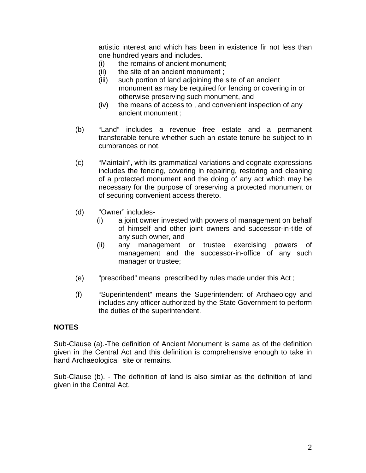artistic interest and which has been in existence fir not less than one hundred years and includes.

- (i) the remains of ancient monument;
- (ii) the site of an ancient monument ;
- (iii) such portion of land adjoining the site of an ancient monument as may be required for fencing or covering in or otherwise preserving such monument, and
- (iv) the means of access to , and convenient inspection of any ancient monument ;
- (b) "Land" includes a revenue free estate and a permanent transferable tenure whether such an estate tenure be subject to in cumbrances or not.
- (c) "Maintain", with its grammatical variations and cognate expressions includes the fencing, covering in repairing, restoring and cleaning of a protected monument and the doing of any act which may be necessary for the purpose of preserving a protected monument or of securing convenient access thereto.
- (d) "Owner" includes-
	- (i) a joint owner invested with powers of management on behalf of himself and other joint owners and successor-in-title of any such owner, and
	- (ii) any management or trustee exercising powers of management and the successor-in-office of any such manager or trustee;
- (e) "prescribed" means prescribed by rules made under this Act ;
- (f) "Superintendent" means the Superintendent of Archaeology and includes any officer authorized by the State Government to perform the duties of the superintendent.

### **NOTES**

Sub-Clause (a).-The definition of Ancient Monument is same as of the definition given in the Central Act and this definition is comprehensive enough to take in hand Archaeological site or remains.

Sub-Clause (b). - The definition of land is also similar as the definition of land given in the Central Act.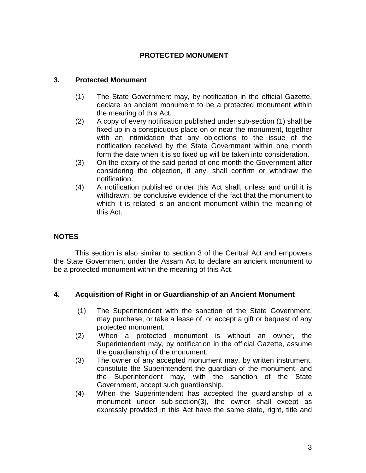# **PROTECTED MONUMENT**

## **3. Protected Monument**

- (1) The State Government may, by notification in the official Gazette, declare an ancient monument to be a protected monument within the meaning of this Act.
- (2) A copy of every notification published under sub-section (1) shall be fixed up in a conspicuous place on or near the monument, together with an intimidation that any objections to the issue of the notification received by the State Government within one month form the date when it is so fixed up will be taken into consideration.
- (3) On the expiry of the said period of one month the Government after considering the objection, if any, shall confirm or withdraw the notification.
- (4) A notification published under this Act shall, unless and until it is withdrawn, be conclusive evidence of the fact that the monument to which it is related is an ancient monument within the meaning of this Act.

# **NOTES**

This section is also similar to section 3 of the Central Act and empowers the State Government under the Assam Act to declare an ancient monument to be a protected monument within the meaning of this Act.

### **4. Acquisition of Right in or Guardianship of an Ancient Monument**

- (1) The Superintendent with the sanction of the State Government, may purchase, or take a lease of, or accept a gift or bequest of any protected monument.
- (2) When a protected monument is without an owner, the Superintendent may, by notification in the official Gazette, assume the guardianship of the monument.
- (3) The owner of any accepted monument may, by written instrument, constitute the Superintendent the guardian of the monument, and the Superintendent may, with the sanction of the State Government, accept such guardianship.
- (4) When the Superintendent has accepted the guardianship of a monument under sub-section(3), the owner shall except as expressly provided in this Act have the same state, right, title and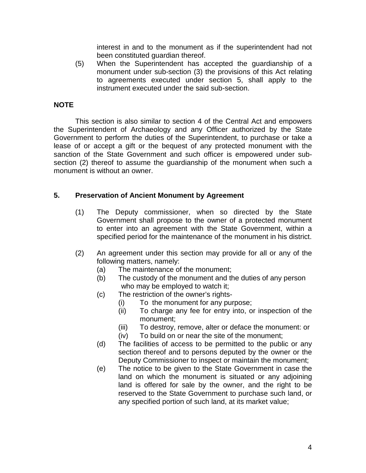interest in and to the monument as if the superintendent had not been constituted guardian thereof.

(5) When the Superintendent has accepted the guardianship of a monument under sub-section (3) the provisions of this Act relating to agreements executed under section 5, shall apply to the instrument executed under the said sub-section.

# **NOTE**

This section is also similar to section 4 of the Central Act and empowers the Superintendent of Archaeology and any Officer authorized by the State Government to perform the duties of the Superintendent, to purchase or take a lease of or accept a gift or the bequest of any protected monument with the sanction of the State Government and such officer is empowered under subsection (2) thereof to assume the guardianship of the monument when such a monument is without an owner.

## **5. Preservation of Ancient Monument by Agreement**

- (1) The Deputy commissioner, when so directed by the State Government shall propose to the owner of a protected monument to enter into an agreement with the State Government, within a specified period for the maintenance of the monument in his district.
- (2) An agreement under this section may provide for all or any of the following matters, namely:
	- (a) The maintenance of the monument;
	- (b) The custody of the monument and the duties of any person who may be employed to watch it;
	- (c) The restriction of the owner's rights-
		- (i) To the monument for any purpose;
		- (ii) To charge any fee for entry into, or inspection of the monument;
		- (iii) To destroy, remove, alter or deface the monument: or (iv) To build on or near the site of the monument;
	- (d) The facilities of access to be permitted to the public or any section thereof and to persons deputed by the owner or the Deputy Commissioner to inspect or maintain the monument;
	- (e) The notice to be given to the State Government in case the land on which the monument is situated or any adjoining land is offered for sale by the owner, and the right to be reserved to the State Government to purchase such land, or any specified portion of such land, at its market value;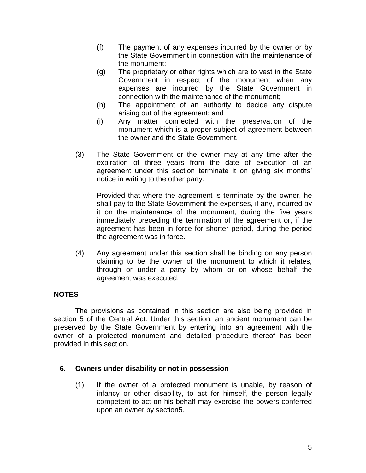- (f) The payment of any expenses incurred by the owner or by the State Government in connection with the maintenance of the monument:
- (g) The proprietary or other rights which are to vest in the State Government in respect of the monument when any expenses are incurred by the State Government in connection with the maintenance of the monument;
- (h) The appointment of an authority to decide any dispute arising out of the agreement; and
- (i) Any matter connected with the preservation of the monument which is a proper subject of agreement between the owner and the State Government.
- (3) The State Government or the owner may at any time after the expiration of three years from the date of execution of an agreement under this section terminate it on giving six months' notice in writing to the other party:

Provided that where the agreement is terminate by the owner, he shall pay to the State Government the expenses, if any, incurred by it on the maintenance of the monument, during the five years immediately preceding the termination of the agreement or, if the agreement has been in force for shorter period, during the period the agreement was in force.

(4) Any agreement under this section shall be binding on any person claiming to be the owner of the monument to which it relates, through or under a party by whom or on whose behalf the agreement was executed.

# **NOTES**

The provisions as contained in this section are also being provided in section 5 of the Central Act. Under this section, an ancient monument can be preserved by the State Government by entering into an agreement with the owner of a protected monument and detailed procedure thereof has been provided in this section.

### **6. Owners under disability or not in possession**

(1) If the owner of a protected monument is unable, by reason of infancy or other disability, to act for himself, the person legally competent to act on his behalf may exercise the powers conferred upon an owner by section5.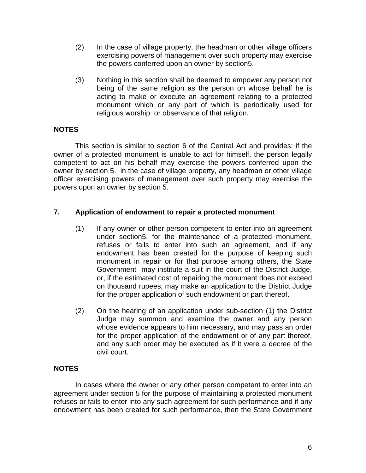- (2) In the case of village property, the headman or other village officers exercising powers of management over such property may exercise the powers conferred upon an owner by section5.
- (3) Nothing in this section shall be deemed to empower any person not being of the same religion as the person on whose behalf he is acting to make or execute an agreement relating to a protected monument which or any part of which is periodically used for religious worship or observance of that religion.

# **NOTES**

This section is similar to section 6 of the Central Act and provides: if the owner of a protected monument is unable to act for himself, the person legally competent to act on his behalf may exercise the powers conferred upon the owner by section 5. in the case of village property, any headman or other village officer exercising powers of management over such property may exercise the powers upon an owner by section 5.

### **7. Application of endowment to repair a protected monument**

- (1) If any owner or other person competent to enter into an agreement under section5, for the maintenance of a protected monument, refuses or fails to enter into such an agreement, and if any endowment has been created for the purpose of keeping such monument in repair or for that purpose among others, the State Government may institute a suit in the court of the District Judge, or, if the estimated cost of repairing the monument does not exceed on thousand rupees, may make an application to the District Judge for the proper application of such endowment or part thereof.
- (2) On the hearing of an application under sub-section (1) the District Judge may summon and examine the owner and any person whose evidence appears to him necessary, and may pass an order for the proper application of the endowment or of any part thereof, and any such order may be executed as if it were a decree of the civil court.

### **NOTES**

In cases where the owner or any other person competent to enter into an agreement under section 5 for the purpose of maintaining a protected monument refuses or fails to enter into any such agreement for such performance and if any endowment has been created for such performance, then the State Government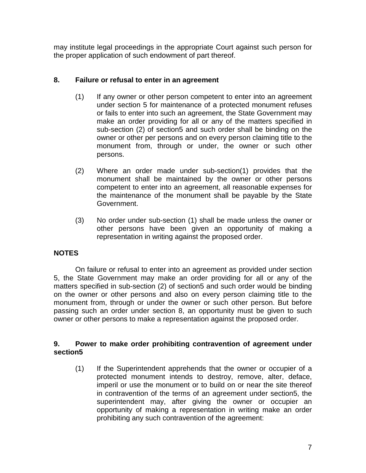may institute legal proceedings in the appropriate Court against such person for the proper application of such endowment of part thereof.

## **8. Failure or refusal to enter in an agreement**

- (1) If any owner or other person competent to enter into an agreement under section 5 for maintenance of a protected monument refuses or fails to enter into such an agreement, the State Government may make an order providing for all or any of the matters specified in sub-section (2) of section5 and such order shall be binding on the owner or other per persons and on every person claiming title to the monument from, through or under, the owner or such other persons.
- (2) Where an order made under sub-section(1) provides that the monument shall be maintained by the owner or other persons competent to enter into an agreement, all reasonable expenses for the maintenance of the monument shall be payable by the State Government.
- (3) No order under sub-section (1) shall be made unless the owner or other persons have been given an opportunity of making a representation in writing against the proposed order.

# **NOTES**

On failure or refusal to enter into an agreement as provided under section 5, the State Government may make an order providing for all or any of the matters specified in sub-section (2) of section5 and such order would be binding on the owner or other persons and also on every person claiming title to the monument from, through or under the owner or such other person. But before passing such an order under section 8, an opportunity must be given to such owner or other persons to make a representation against the proposed order.

## **9. Power to make order prohibiting contravention of agreement under section5**

(1) If the Superintendent apprehends that the owner or occupier of a protected monument intends to destroy, remove, alter, deface, imperil or use the monument or to build on or near the site thereof in contravention of the terms of an agreement under section5, the superintendent may, after giving the owner or occupier an opportunity of making a representation in writing make an order prohibiting any such contravention of the agreement: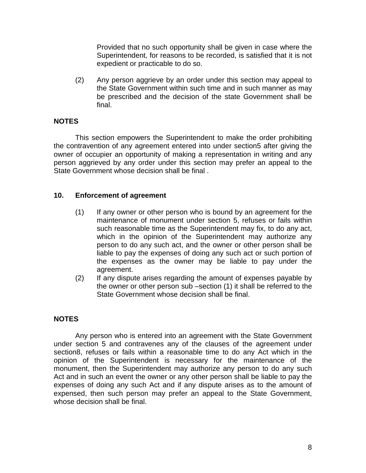Provided that no such opportunity shall be given in case where the Superintendent, for reasons to be recorded, is satisfied that it is not expedient or practicable to do so.

(2) Any person aggrieve by an order under this section may appeal to the State Government within such time and in such manner as may be prescribed and the decision of the state Government shall be final.

# **NOTES**

This section empowers the Superintendent to make the order prohibiting the contravention of any agreement entered into under section5 after giving the owner of occupier an opportunity of making a representation in writing and any person aggrieved by any order under this section may prefer an appeal to the State Government whose decision shall be final .

# **10. Enforcement of agreement**

- (1) If any owner or other person who is bound by an agreement for the maintenance of monument under section 5, refuses or fails within such reasonable time as the Superintendent may fix, to do any act, which in the opinion of the Superintendent may authorize any person to do any such act, and the owner or other person shall be liable to pay the expenses of doing any such act or such portion of the expenses as the owner may be liable to pay under the agreement.
- (2) If any dispute arises regarding the amount of expenses payable by the owner or other person sub –section (1) it shall be referred to the State Government whose decision shall be final.

# **NOTES**

Any person who is entered into an agreement with the State Government under section 5 and contravenes any of the clauses of the agreement under section8, refuses or fails within a reasonable time to do any Act which in the opinion of the Superintendent is necessary for the maintenance of the monument, then the Superintendent may authorize any person to do any such Act and in such an event the owner or any other person shall be liable to pay the expenses of doing any such Act and if any dispute arises as to the amount of expensed, then such person may prefer an appeal to the State Government, whose decision shall be final.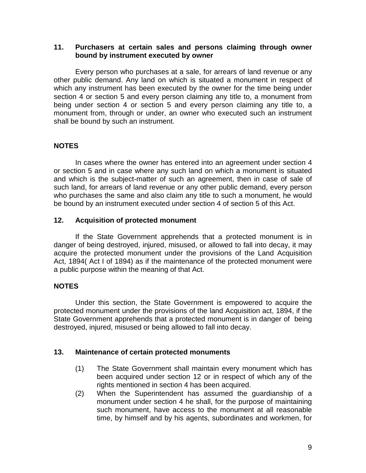#### **11. Purchasers at certain sales and persons claiming through owner bound by instrument executed by owner**

Every person who purchases at a sale, for arrears of land revenue or any other public demand. Any land on which is situated a monument in respect of which any instrument has been executed by the owner for the time being under section 4 or section 5 and every person claiming any title to, a monument from being under section 4 or section 5 and every person claiming any title to, a monument from, through or under, an owner who executed such an instrument shall be bound by such an instrument.

# **NOTES**

In cases where the owner has entered into an agreement under section 4 or section 5 and in case where any such land on which a monument is situated and which is the subject-matter of such an agreement, then in case of sale of such land, for arrears of land revenue or any other public demand, every person who purchases the same and also claim any title to such a monument, he would be bound by an instrument executed under section 4 of section 5 of this Act.

### **12. Acquisition of protected monument**

If the State Government apprehends that a protected monument is in danger of being destroyed, injured, misused, or allowed to fall into decay, it may acquire the protected monument under the provisions of the Land Acquisition Act, 1894( Act I of 1894) as if the maintenance of the protected monument were a public purpose within the meaning of that Act.

# **NOTES**

Under this section, the State Government is empowered to acquire the protected monument under the provisions of the land Acquisition act, 1894, if the State Government apprehends that a protected monument is in danger of being destroyed, injured, misused or being allowed to fall into decay.

### **13. Maintenance of certain protected monuments**

- (1) The State Government shall maintain every monument which has been acquired under section 12 or in respect of which any of the rights mentioned in section 4 has been acquired.
- (2) When the Superintendent has assumed the guardianship of a monument under section 4 he shall, for the purpose of maintaining such monument, have access to the monument at all reasonable time, by himself and by his agents, subordinates and workmen, for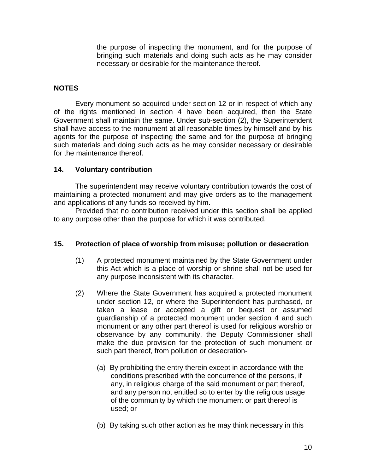the purpose of inspecting the monument, and for the purpose of bringing such materials and doing such acts as he may consider necessary or desirable for the maintenance thereof.

## **NOTES**

Every monument so acquired under section 12 or in respect of which any of the rights mentioned in section 4 have been acquired, then the State Government shall maintain the same. Under sub-section (2), the Superintendent shall have access to the monument at all reasonable times by himself and by his agents for the purpose of inspecting the same and for the purpose of bringing such materials and doing such acts as he may consider necessary or desirable for the maintenance thereof.

### **14. Voluntary contribution**

The superintendent may receive voluntary contribution towards the cost of maintaining a protected monument and may give orders as to the management and applications of any funds so received by him.

Provided that no contribution received under this section shall be applied to any purpose other than the purpose for which it was contributed.

### **15. Protection of place of worship from misuse; pollution or desecration**

- (1) A protected monument maintained by the State Government under this Act which is a place of worship or shrine shall not be used for any purpose inconsistent with its character.
- (2) Where the State Government has acquired a protected monument under section 12, or where the Superintendent has purchased, or taken a lease or accepted a gift or bequest or assumed guardianship of a protected monument under section 4 and such monument or any other part thereof is used for religious worship or observance by any community, the Deputy Commissioner shall make the due provision for the protection of such monument or such part thereof, from pollution or desecration-
	- (a) By prohibiting the entry therein except in accordance with the conditions prescribed with the concurrence of the persons, if any, in religious charge of the said monument or part thereof, and any person not entitled so to enter by the religious usage of the community by which the monument or part thereof is used; or
	- (b) By taking such other action as he may think necessary in this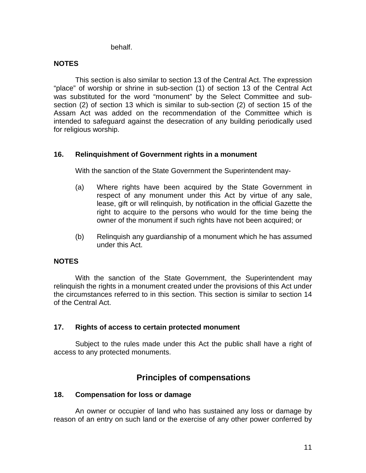behalf.

# **NOTES**

This section is also similar to section 13 of the Central Act. The expression "place" of worship or shrine in sub-section (1) of section 13 of the Central Act was substituted for the word "monument" by the Select Committee and subsection (2) of section 13 which is similar to sub-section (2) of section 15 of the Assam Act was added on the recommendation of the Committee which is intended to safeguard against the desecration of any building periodically used for religious worship.

## **16. Relinquishment of Government rights in a monument**

With the sanction of the State Government the Superintendent may-

- (a) Where rights have been acquired by the State Government in respect of any monument under this Act by virtue of any sale, lease, gift or will relinquish, by notification in the official Gazette the right to acquire to the persons who would for the time being the owner of the monument if such rights have not been acquired; or
- (b) Relinquish any guardianship of a monument which he has assumed under this Act.

### **NOTES**

With the sanction of the State Government, the Superintendent may relinquish the rights in a monument created under the provisions of this Act under the circumstances referred to in this section. This section is similar to section 14 of the Central Act.

### **17. Rights of access to certain protected monument**

Subject to the rules made under this Act the public shall have a right of access to any protected monuments.

# **Principles of compensations**

### **18. Compensation for loss or damage**

An owner or occupier of land who has sustained any loss or damage by reason of an entry on such land or the exercise of any other power conferred by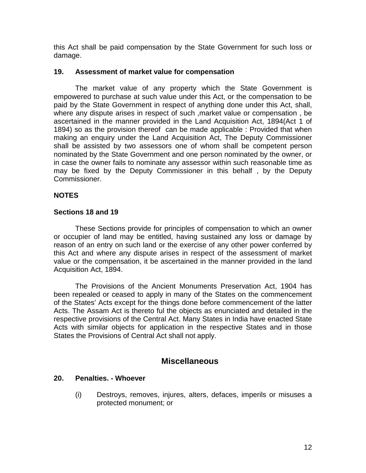this Act shall be paid compensation by the State Government for such loss or damage.

#### **19. Assessment of market value for compensation**

The market value of any property which the State Government is empowered to purchase at such value under this Act, or the compensation to be paid by the State Government in respect of anything done under this Act, shall, where any dispute arises in respect of such ,market value or compensation , be ascertained in the manner provided in the Land Acquisition Act, 1894(Act 1 of 1894) so as the provision thereof can be made applicable : Provided that when making an enquiry under the Land Acquisition Act, The Deputy Commissioner shall be assisted by two assessors one of whom shall be competent person nominated by the State Government and one person nominated by the owner, or in case the owner fails to nominate any assessor within such reasonable time as may be fixed by the Deputy Commissioner in this behalf , by the Deputy Commissioner.

### **NOTES**

### **Sections 18 and 19**

These Sections provide for principles of compensation to which an owner or occupier of land may be entitled, having sustained any loss or damage by reason of an entry on such land or the exercise of any other power conferred by this Act and where any dispute arises in respect of the assessment of market value or the compensation, it be ascertained in the manner provided in the land Acquisition Act, 1894.

The Provisions of the Ancient Monuments Preservation Act, 1904 has been repealed or ceased to apply in many of the States on the commencement of the States' Acts except for the things done before commencement of the latter Acts. The Assam Act is thereto ful the objects as enunciated and detailed in the respective provisions of the Central Act. Many States in India have enacted State Acts with similar objects for application in the respective States and in those States the Provisions of Central Act shall not apply.

# **Miscellaneous**

#### **20. Penalties. - Whoever**

(i) Destroys, removes, injures, alters, defaces, imperils or misuses a protected monument; or